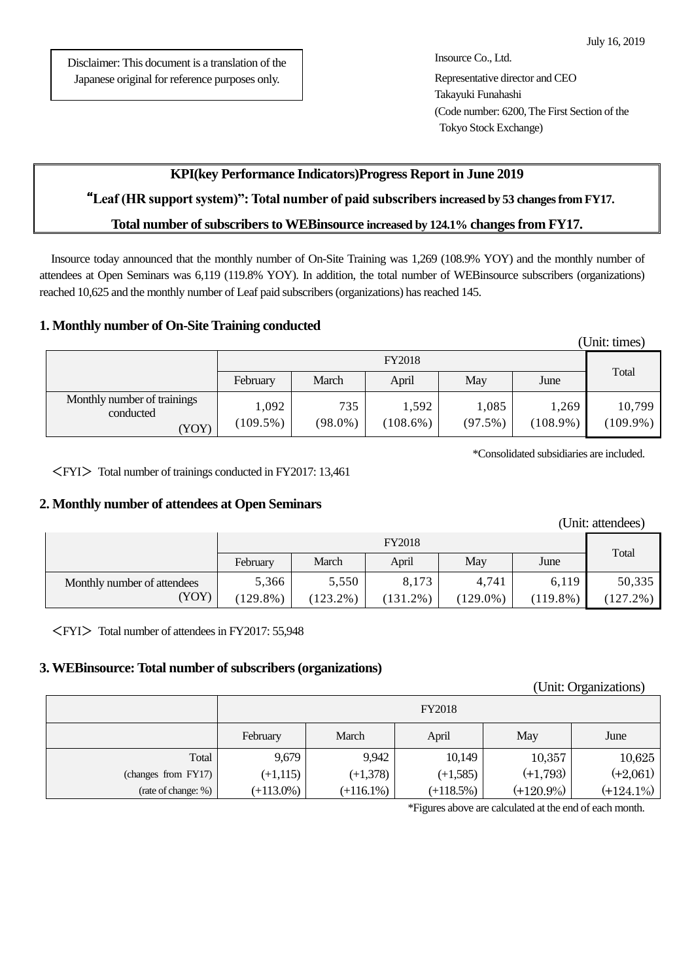Disclaimer: This document is a translation of the Japanese original for reference purposes only.

Insource Co., Ltd. Representative director and CEO Takayuki Funahashi (Code number: 6200, The First Section of the Tokyo Stock Exchange)

# **KPI(key Performance Indicators)Progress Report in June 2019**

# "**Leaf (HR support system)": Total number of paid subscribers increased by 53 changes from FY17.**

# Total number of subscribers to WEBinsource increased by 124.1% changes from FY17.

Insource today announced that the monthly number of On-Site Training was 1,269 (108.9% YOY) and the monthly number of attendees at Open Seminars was 6,119 (119.8% YOY). In addition, the total number of WEBinsource subscribers (organizations) reached 10,625 and the monthly number of Leaf paid subscribers (organizations) has reached 145.

### **1. Monthly number of On-Site Training conducted**

|                                                   | $\overline{\phantom{a}}$ |                   |                      |                     |                      | (Unit: times)         |
|---------------------------------------------------|--------------------------|-------------------|----------------------|---------------------|----------------------|-----------------------|
| <b>FY2018</b>                                     |                          |                   |                      | Total               |                      |                       |
|                                                   | February                 | March             | April                | May                 | June                 |                       |
| Monthly number of trainings<br>conducted<br>(YOY) | 1,092<br>$(109.5\%)$     | 735<br>$(98.0\%)$ | 1,592<br>$(108.6\%)$ | 1,085<br>$(97.5\%)$ | 1,269<br>$(108.9\%)$ | 10,799<br>$(109.9\%)$ |

\*Consolidated subsidiaries are included.

<FYI> Total number of trainings conducted in FY2017: 13,461

### **2. Monthly number of attendees at Open Seminars**

| OTIII. audinius             |             |             |          |             |             |             |  |
|-----------------------------|-------------|-------------|----------|-------------|-------------|-------------|--|
| <b>FY2018</b>               |             |             |          |             | Total       |             |  |
|                             | February    | March       | April    | May         | June        |             |  |
| Monthly number of attendees | 5,366       | 5,550       | 8,173    | 4,741       | 6,119       | 50,335      |  |
| (YOY)                       | $(129.8\%)$ | $(123.2\%)$ | (131.2%) | $(129.0\%)$ | $(119.8\%)$ | $(127.2\%)$ |  |

<FYI> Total number of attendees in FY2017: 55,948

### **3. WEBinsource: Total number of subscribers (organizations)**

(Unit: Organizations)

(Unit: attendees)

|                     | <b>FY2018</b> |              |             |              |              |  |  |  |
|---------------------|---------------|--------------|-------------|--------------|--------------|--|--|--|
|                     | February      | March        | April       | May          | June         |  |  |  |
| Total               | 9,679         | 9,942        | 10,149      | 10,357       | 10,625       |  |  |  |
| (changes from FY17) | $(+1, 115)$   | $(+1,378)$   | $(+1, 585)$ | $(+1,793)$   | $(+2,061)$   |  |  |  |
| (rate of change: %) | $(+113.0\%)$  | $(+116.1\%)$ | $(+118.5%)$ | $(+120.9\%)$ | $(+124.1\%)$ |  |  |  |

\*Figures above are calculated at the end of each month.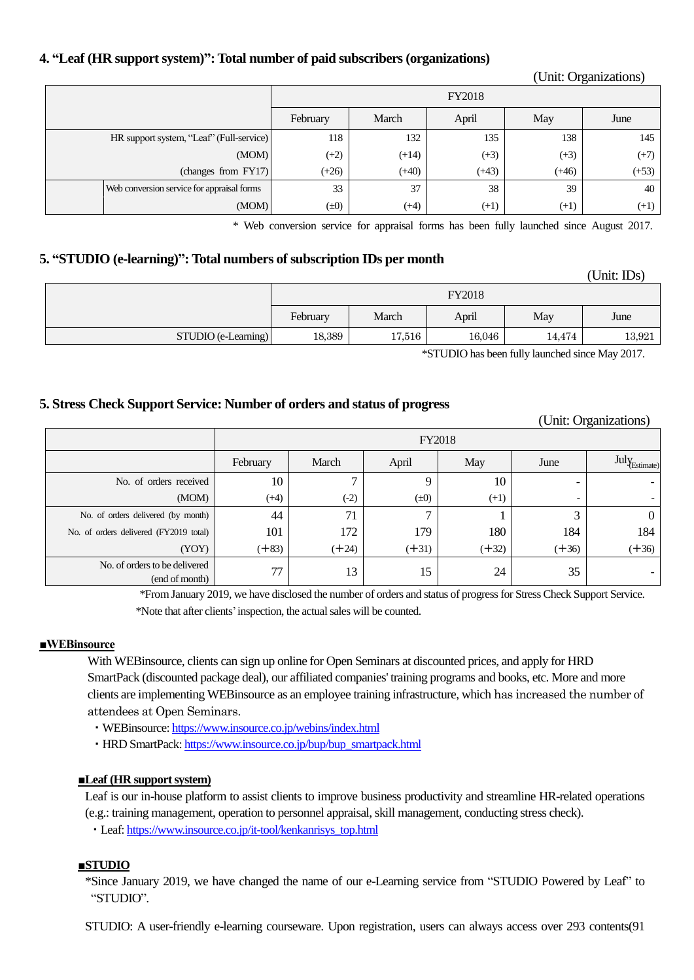# **4. "Leaf (HR support system)": Total number of paid subscribers (organizations)**

|                                                                          |                                            |               |         |         |         | $\sum$  |
|--------------------------------------------------------------------------|--------------------------------------------|---------------|---------|---------|---------|---------|
|                                                                          |                                            | <b>FY2018</b> |         |         |         |         |
|                                                                          |                                            | February      | March   | April   | May     | June    |
| HR support system, "Leaf" (Full-service)<br>(MOM)<br>(changes from FY17) |                                            | 118           | 132     | 135     | 138     | 145     |
|                                                                          |                                            | $(+2)$        | $(+14)$ | $(+3)$  | $(+3)$  | $(+7)$  |
|                                                                          |                                            | $(+26)$       | $(+40)$ | $(+43)$ | $(+46)$ | $(+53)$ |
|                                                                          | Web conversion service for appraisal forms | 33            | 37      | 38      | 39      | 40      |
|                                                                          | (MOM)                                      | $(\pm 0)$     | $(+4)$  | $(+1)$  | $(+1)$  | $(+1)$  |

\* Web conversion service for appraisal forms has been fully launched since August 2017.

### **5. "STUDIO (e-learning)": Total numbers of subscription IDs per month**

|                     |               |        |        |        | (UIIII, IDS) |
|---------------------|---------------|--------|--------|--------|--------------|
|                     | <b>FY2018</b> |        |        |        |              |
|                     | February      | March  | April  | May    | June         |
| STUDIO (e-Learning) | 18,389        | 17,516 | 16,046 | 14,474 | 13,921       |
|                     |               |        |        |        |              |

\*STUDIO has been fully launched since May 2017.

(Unit: Organizations)

 $($ Unit:  $\text{ID}_c$ )

(Unit: Organizations)

### **5. Stress Check Support Service: Number of orders and status of progress**

|                                                 | $\sim$ OTHE OF $\sim$ OF $\sim$ Matrice CHS |               |           |         |         |                   |  |
|-------------------------------------------------|---------------------------------------------|---------------|-----------|---------|---------|-------------------|--|
|                                                 |                                             | <b>FY2018</b> |           |         |         |                   |  |
|                                                 | February                                    | March         | April     | May     | June    | $July_{Estimate}$ |  |
| No. of orders received                          | 10                                          |               | 9         | 10      |         |                   |  |
| (MOM)                                           | $(+4)$                                      | $(-2)$        | $(\pm 0)$ | $(+1)$  |         |                   |  |
| No. of orders delivered (by month)              | 44                                          | 71            | ┑         |         | 3       | $\overline{0}$    |  |
| No. of orders delivered (FY2019 total)          | 101                                         | 172           | 179       | 180     | 184     | 184               |  |
| (YOY)                                           | $(+83)$                                     | $(+24)$       | $(+31)$   | $(+32)$ | $(+36)$ | $(+36)$           |  |
| No. of orders to be delivered<br>(end of month) | 77                                          | 13            | 15        | 24      | 35      |                   |  |

\*From January 2019, we have disclosed the number of orders and status of progressfor Stress Check Support Service. \*Note that after clients'inspection, the actual sales will be counted.

#### **■WEBinsource**

With WEBinsource, clients can sign up online for Open Seminars at discounted prices, and apply for HRD SmartPack (discounted package deal), our affiliated companies' training programs and books, etc. More and more clients are implementing WEBinsource as an employee training infrastructure, which has increased the number of attendees at Open Seminars.

・WEBinsource: [https://www.insource.co.jp/webins/index.html](http://www.insource.co.jp/webins/index.html)

• HRD SmartPack[: https://www.insource.co.jp/bup/bup\\_smartpack.html](http://www.insource.co.jp/bup/bup_smartpack.html)

#### **■Leaf (HR support system)**

Leaf is our in-house platform to assist clients to improve business productivity and streamline HR-related operations (e.g.: training management, operation to personnel appraisal, skill management, conducting stress check).

・Leaf: [https://www.insource.co.jp/it-tool/kenkanrisys\\_top.html](http://www.insource.co.jp/it-tool/kenkanrisys_top.html)

#### **■STUDIO**

\*Since January 2019, we have changed the name of our e-Learning service from "STUDIO Powered by Leaf" to "STUDIO".

STUDIO: A user-friendly e-learning courseware. Upon registration, users can always access over 293 contents(91